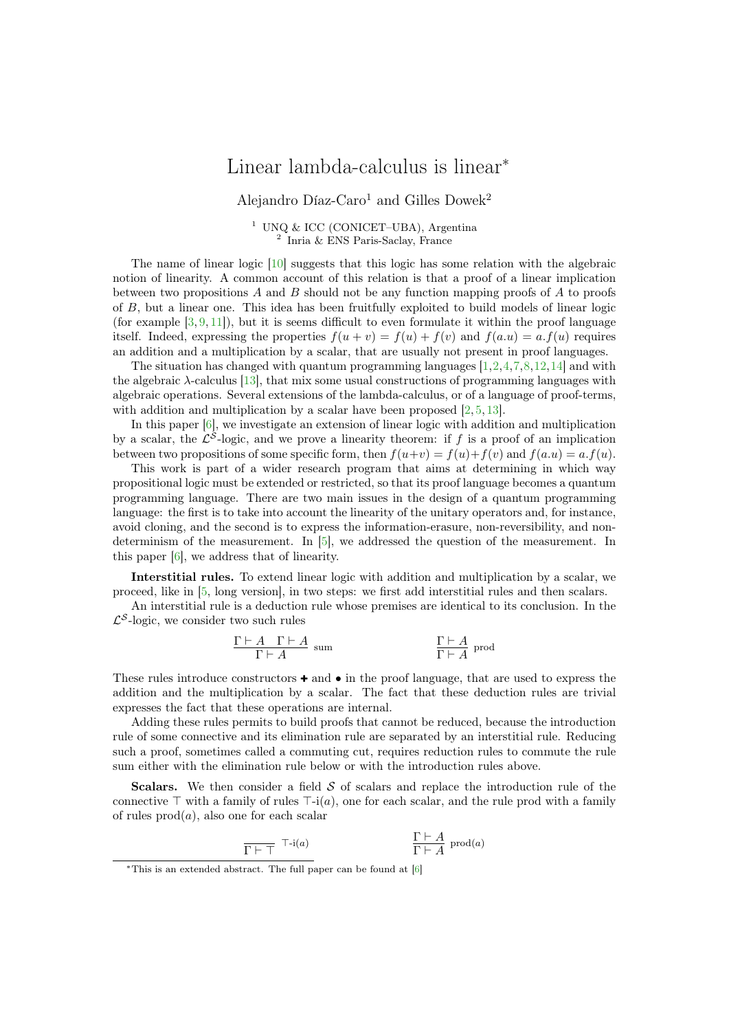## Linear lambda-calculus is linear<sup>∗</sup>

Alejandro Díaz-Caro<sup>1</sup> and Gilles Dowek<sup>2</sup>

<sup>1</sup> UNQ & ICC (CONICET–UBA), Argentina<br><sup>2</sup> Inria & ENS Paris-Saclay, France

The name of linear logic [\[10\]](#page-2-0) suggests that this logic has some relation with the algebraic notion of linearity. A common account of this relation is that a proof of a linear implication between two propositions A and B should not be any function mapping proofs of A to proofs of B, but a linear one. This idea has been fruitfully exploited to build models of linear logic (for example  $[3, 9, 11]$  $[3, 9, 11]$  $[3, 9, 11]$  $[3, 9, 11]$  $[3, 9, 11]$ ), but it is seems difficult to even formulate it within the proof language itself. Indeed, expressing the properties  $f(u + v) = f(u) + f(v)$  and  $f(a.u) = a.f(u)$  requires an addition and a multiplication by a scalar, that are usually not present in proof languages.

The situation has changed with quantum programming languages  $[1,2,4,7,8,12,14]$  $[1,2,4,7,8,12,14]$  $[1,2,4,7,8,12,14]$  $[1,2,4,7,8,12,14]$  $[1,2,4,7,8,12,14]$  $[1,2,4,7,8,12,14]$  $[1,2,4,7,8,12,14]$  and with the algebraic λ-calculus [\[13\]](#page-2-11), that mix some usual constructions of programming languages with algebraic operations. Several extensions of the lambda-calculus, or of a language of proof-terms, with addition and multiplication by a scalar have been proposed [\[2,](#page-2-5) [5,](#page-2-12) [13\]](#page-2-11).

In this paper [\[6\]](#page-2-13), we investigate an extension of linear logic with addition and multiplication by a scalar, the  $\mathcal{L}^{\mathcal{S}}$ -logic, and we prove a linearity theorem: if f is a proof of an implication between two propositions of some specific form, then  $f(u+v) = f(u) + f(v)$  and  $f(a.u) = a.f(u)$ .

This work is part of a wider research program that aims at determining in which way propositional logic must be extended or restricted, so that its proof language becomes a quantum programming language. There are two main issues in the design of a quantum programming language: the first is to take into account the linearity of the unitary operators and, for instance, avoid cloning, and the second is to express the information-erasure, non-reversibility, and nondeterminism of the measurement. In [\[5\]](#page-2-12), we addressed the question of the measurement. In this paper [\[6\]](#page-2-13), we address that of linearity.

Interstitial rules. To extend linear logic with addition and multiplication by a scalar, we proceed, like in [\[5,](#page-2-12) long version], in two steps: we first add interstitial rules and then scalars.

An interstitial rule is a deduction rule whose premises are identical to its conclusion. In the  $\mathcal{L}^{\mathcal{S}}$ -logic, we consider two such rules

$$
\frac{\Gamma \vdash A \quad \Gamma \vdash A}{\Gamma \vdash A} \text{ sum} \qquad \qquad \frac{\Gamma \vdash A}{\Gamma \vdash A} \text{ prod}
$$

These rules introduce constructors  $\bullet$  and  $\bullet$  in the proof language, that are used to express the addition and the multiplication by a scalar. The fact that these deduction rules are trivial expresses the fact that these operations are internal.

Adding these rules permits to build proofs that cannot be reduced, because the introduction rule of some connective and its elimination rule are separated by an interstitial rule. Reducing such a proof, sometimes called a commuting cut, requires reduction rules to commute the rule sum either with the elimination rule below or with the introduction rules above.

**Scalars.** We then consider a field  $S$  of scalars and replace the introduction rule of the connective ⊤ with a family of rules  $\top$ -i(a), one for each scalar, and the rule prod with a family of rules  $\text{prod}(a)$ , also one for each scalar

$$
\frac{\Gamma \vdash A}{\Gamma \vdash \top} \top \text{-i}(a) \qquad \qquad \frac{\Gamma \vdash A}{\Gamma \vdash A} \text{ prod}(a)
$$

<sup>∗</sup>This is an extended abstract. The full paper can be found at [\[6\]](#page-2-13)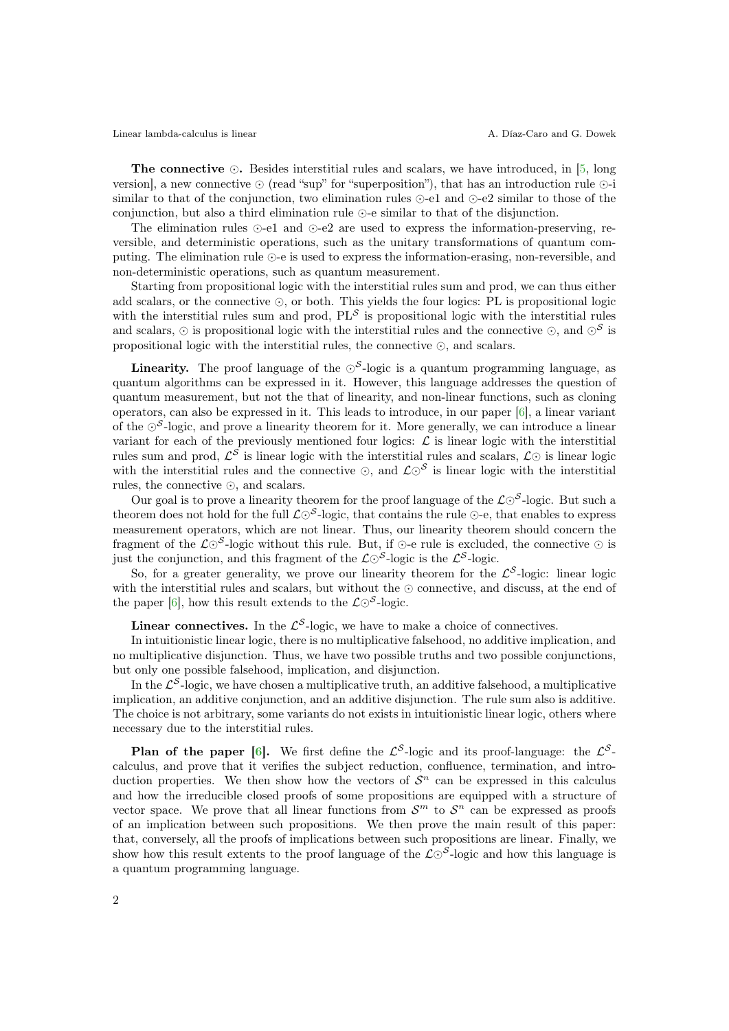Linear lambda-calculus is linear  $\qquad \qquad$  A. Díaz-Caro and G. Dowek

The connective  $\odot$ . Besides interstitial rules and scalars, we have introduced, in [\[5,](#page-2-12) long version], a new connective ⊙ (read "sup" for "superposition"), that has an introduction rule ⊙-i similar to that of the conjunction, two elimination rules ⊙-e1 and ⊙-e2 similar to those of the conjunction, but also a third elimination rule ⊙-e similar to that of the disjunction.

The elimination rules ⊙-e1 and ⊙-e2 are used to express the information-preserving, reversible, and deterministic operations, such as the unitary transformations of quantum computing. The elimination rule ⊙-e is used to express the information-erasing, non-reversible, and non-deterministic operations, such as quantum measurement.

Starting from propositional logic with the interstitial rules sum and prod, we can thus either add scalars, or the connective ⊙, or both. This yields the four logics: PL is propositional logic with the interstitial rules sum and prod,  $PL<sup>S</sup>$  is propositional logic with the interstitial rules and scalars,  $\odot$  is propositional logic with the interstitial rules and the connective  $\odot$ , and  $\odot^{\mathcal{S}}$  is propositional logic with the interstitial rules, the connective ⊙, and scalars.

**Linearity.** The proof language of the  $\odot^{\mathcal{S}}$ -logic is a quantum programming language, as quantum algorithms can be expressed in it. However, this language addresses the question of quantum measurement, but not the that of linearity, and non-linear functions, such as cloning operators, can also be expressed in it. This leads to introduce, in our paper [\[6\]](#page-2-13), a linear variant of the  $\odot^{\mathcal{S}}$ -logic, and prove a linearity theorem for it. More generally, we can introduce a linear variant for each of the previously mentioned four logics:  $\mathcal{L}$  is linear logic with the interstitial rules sum and prod,  $\mathcal{L}^{\mathcal{S}}$  is linear logic with the interstitial rules and scalars,  $\mathcal{L}\odot$  is linear logic with the interstitial rules and the connective ⊙, and  $\mathcal{L}\odot^{\mathcal{S}}$  is linear logic with the interstitial rules, the connective ⊙, and scalars.

Our goal is to prove a linearity theorem for the proof language of the  $\mathcal{L} \odot^{\mathcal{S}}$ -logic. But such a theorem does not hold for the full  $\mathcal{L} \odot^{\mathcal{S}}$ -logic, that contains the rule ⊙-e, that enables to express measurement operators, which are not linear. Thus, our linearity theorem should concern the fragment of the  $\mathcal{L}\odot^{\mathcal{S}}$ -logic without this rule. But, if  $\odot$ -e rule is excluded, the connective  $\odot$  is just the conjunction, and this fragment of the  $\mathcal{L} \odot^{\mathcal{S}}$ -logic is the  $\mathcal{L}^{\mathcal{S}}$ -logic.

So, for a greater generality, we prove our linearity theorem for the  $\mathcal{L}^{\mathcal{S}}$ -logic: linear logic with the interstitial rules and scalars, but without the ⊙ connective, and discuss, at the end of the paper [\[6\]](#page-2-13), how this result extends to the  $\mathcal{L} \odot^{\mathcal{S}}$ -logic.

**Linear connectives.** In the  $\mathcal{L}^{\mathcal{S}}$ -logic, we have to make a choice of connectives.

In intuitionistic linear logic, there is no multiplicative falsehood, no additive implication, and no multiplicative disjunction. Thus, we have two possible truths and two possible conjunctions, but only one possible falsehood, implication, and disjunction.

In the  $\mathcal{L}^{\mathcal{S}}$ -logic, we have chosen a multiplicative truth, an additive falsehood, a multiplicative implication, an additive conjunction, and an additive disjunction. The rule sum also is additive. The choice is not arbitrary, some variants do not exists in intuitionistic linear logic, others where necessary due to the interstitial rules.

**Plan of the paper [\[6\]](#page-2-13).** We first define the  $\mathcal{L}^{\mathcal{S}}$ -logic and its proof-language: the  $\mathcal{L}^{\mathcal{S}}$ calculus, and prove that it verifies the subject reduction, confluence, termination, and introduction properties. We then show how the vectors of  $S<sup>n</sup>$  can be expressed in this calculus and how the irreducible closed proofs of some propositions are equipped with a structure of vector space. We prove that all linear functions from  $\mathcal{S}^m$  to  $\mathcal{S}^n$  can be expressed as proofs of an implication between such propositions. We then prove the main result of this paper: that, conversely, all the proofs of implications between such propositions are linear. Finally, we show how this result extents to the proof language of the  $\mathcal{L}\odot^{\mathcal{S}}$ -logic and how this language is a quantum programming language.